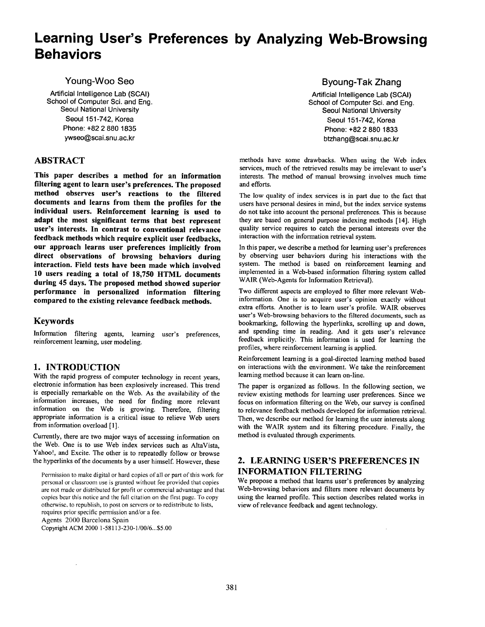# **Learning User's Preferences by Analyzing Web-Browsing Behaviors**

Young-Woo Seo

Artificial Intelligence Lab (SCAI) School of Computer Sci. and Eng. Seoul National University **Seoul 151-742, Korea** Phone: +82 2 880 1835 ywseo@scai.snu.ac.kr

# **ABSTRACT**

**This paper describes a method for an information filtering agent to learn user's preferences. The proposed method observes user's reactions to the filtered documents and learns from them the profiles for the individual users. Reinforcement learning is used to adapt the most significant terms that best represent user's interests. In contrast to conventional relevance feedback methods which require explicit user feedbacks, our approach learns user preferences implicitly from direct observations of browsing behaviors during interaction. Field tests have been made which involved 10 users reading a total of 18,750 HTML documents during 45 days. The proposed method showed superior performance in personalized information filtering compared to the existing relevance feedback methods.** 

## **Keywords**

Information filtering agents, learning user's preferences, reinforcement learning, user modeling.

## **1. INTRODUCTION**

With the rapid progress of computer technology in recent years, electronic information has been explosively increased. This trend is especially remarkable on the Web. As the availability of the information increases, the need for finding more relevant information on the Web is growing. Therefore, filtering appropriate information is a critical issue to relieve Web users from information overload [1].

Currently, there are two major ways of accessing information on the Web. One is to use Web index services such as AltaVista, Yahoo!, and Excite. The other is to repeatedly follow or browse the hyperlinks of the documents by a user himself. However, these

Permission to make digital or hard copies of all or part of this work for personal or classroom use is granted without fee provided that copies are not made or distributed for profit or commercial advantage and that copies bear this notice and the full citation on the first page. To copy otherwise, to republish, to post on servers or to redistribute to lists, requires prior specific permission and/or a fee. Agents 2000 Barcelona Spain

Copyright ACM 2000 1-58113-230-1/00/6...\$5.00

Byoung-Tak Zhang

Artificial Intelligence Lab (SCAI) School of Computer Sci. and Eng. Seoul National University Seoul 151-742, Korea Phone: +82 2 880 1833 btzhang@scai.snu.ac.kr

methods have some drawbacks. When using the Web index services, much of the retrieved results may be irrelevant to user's interests. The method of manual browsing involves much time and efforts.

The low quality of index services is in part due to the fact that users have personal desires in mind, but the index service systems do not take into account the personal preferences. This is because they are based on general purpose indexing methods [14]. High quality service requires to catch the personal interests over the interaction with the information retrieval system.

In this paper, we describe a method for learning user's preferences by observing user behaviors during his interactions with the system. The method is based on reinforcement learning and implemented in a Web-based information filtering system called WAIR (Web-Agents for Information Retrieval).

Two different aspects are employed to filter more relevant Webinformation. One is to acquire user's opinion exactly without extra efforts. Another is to learn user's profile. WAIR observes user's Web-browsing behaviors to the filtered documents, such as bookmarking, following the hyperlinks, scrolling up and down, and spending time in reading. And it gets user's relevance feedback implicitly. This information is used for learning the profiles, where reinforcement learning is applied.

Reinforcement learning is a goal-directed learning method based on interactions with the environment. We take the reinforcement learning method because it can learn on-line.

The paper is organized as follows. In the following section, we review existing methods for learning user preferences. Since we focus on information filtering on the Web, our survey is confined to relevance feedback methods developed for information retrieval. Then, we describe our method for learning the user interests along with the WAIR system and its filtering procedure. Finally, the method is evaluated through experiments.

# **2. LEARNING USER'S PREFERENCES IN INFORMATION FILTERING**

We propose a method that learns user's preferences by analyzing Web-browsing behaviors and filters more relevant documents by using the learned profile. This section describes related works in view of relevance feedback and agent technology.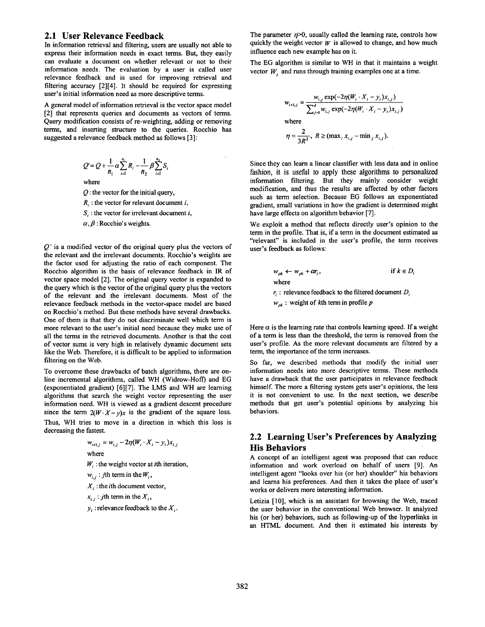### **2.1 User Relevance Feedback**

In information retrieval and filtering, users are usually not able to express their information needs in exact terms. But, they easily can evaluate a document on whether relevant or not to their information needs. The evaluation by a user is called user relevance feedback and is used for improving retrieval and filtering accuracy [2][4]. It should be required for expressing user's initial information need as more descriptive terms.

A general model of information retrieval is the vector space model [2] that represents queries and documents as vectors of terms. Query modification consists of re-weighting, adding or removing terms, and inserting structure to the queries. Rocchio has suggested a relevance feedback method as follows [3]:

$$
Q' = Q + \frac{1}{n_1} \alpha \sum_{i=1}^{n_1} R_i - \frac{1}{n_2} \beta \sum_{i=1}^{n_2} S_i
$$

where

 $Q$ : the vector for the initial query,

 $R_i$ : the vector for relevant document i,

 $S_i$ : the vector for irrelevant document i,

 $\alpha$ ,  $\beta$  : Rocchio's weights.

*Q"* is a modified vector of the original query plus the vectors of the relevant and the irrelevant documents. Rocchio's weights are the factor used for adjusting the ratio of each component. The Rocchio algorithm is the basis of relevance feedback in IR of vector space model [2]. The original query vector is expanded to the query which is the vector of the original query plus the vectors of the relevant and the irrelevant documents. Most of the relevance feedback methods in the vector-space model are based on Rocchio's method. But these methods have several drawbacks. One of them is that they do not discriminate well which term is more relevant to the user's initial need because they make use of all the terms in the retrieved documents. Another is that the cost of vector sums is very high in relatively dynamic document sets like the Web. Therefore, it is difficult to be applied to information filtering on the Web.

To overcome these drawbacks of batch algorithms, there are online incremental algorithms, called WH (Widrow-Hoff) and EG (exponentiated gradient) [6][7]. The LMS and WH are learning algorithms that search the weight vector representing the user information need. WH is viewed as a gradient descent procedure since the term  $2(W \cdot X - y)x$  is the gradient of the square loss. Thus, WH tries to move in a direction in which this loss is decreasing the fastest.

$$
w_{i+1,j} = w_{i,j} - 2\eta (W_i \cdot X_i - y_i) x_{i,j}
$$
  
where  

$$
W_i
$$
: the weight vector at *i*th iteration,  

$$
w_{i,j}
$$
: *j*th term in the  $W_i$ ,  

$$
X_i
$$
: the *i*th document vector,  

$$
x_{i,j}
$$
: *j*th term in the  $X_i$ ,

 $y_i$ : relevance feedback to the  $X_i$ .

The parameter  $\eta$ >0, usually called the learning rate, controls how quickly the weight vector  $W$  is allowed to change, and how much influence each new example has on it.

The EG algorithm is similar to WH in that it maintains a weight vector  $W_i$  and runs through training examples one at a time.

$$
w_{i+1,j} = \frac{w_{i,j} \exp(-2\eta (W_i \cdot X_i - y_i)x_{i,j})}{\sum_{j=1}^d w_{i,j} \exp(-2\eta (W_i \cdot X_i - y_i)x_{i,j})}
$$
  
where  

$$
\eta = \frac{2}{3R^2}, R \ge (\max_i x_{i,j} - \min_j x_{i,j}).
$$

Since they can learn a linear classifier with less data and in online fashion, it is useful to apply these algorithms to personalized information filtering. But they mainly consider weight modification, and thus the results are affected by other factors such as term selection. Because EG follows an exponentiated gradient, small variations in how the gradient is determined might have large effects on algorithm behavior [7].

We exploit a method that reflects directly user's opinion to the term in the profile. That is, if a term in the document estimated as "relevant" is included in the user's profile, the term receives user's feedback as follows:

$$
w_{pk} \leftarrow w_{pk} + \alpha r_i, \qquad \text{if } k \in D_i
$$
  
where  

$$
r_i : \text{relevance feedback to the filtered document } D_i
$$
  

$$
w_{pk} : \text{weight of } k\text{th term in profile } p
$$

Here  $\alpha$  is the learning rate that controls learning speed. If a weight of a term is less than the threshold, the term is removed from the user's profile. As the more relevant documents are filtered by a term, the importance of the term increases.

So far, we described methods that modify the initial user information needs into more descriptive terms. These methods have a drawback that the user participates in relevance feedback himself. The more a filtering system gets user's opinions, the less it is not convenient to use. In the next section, we describe methods that get user's potential opinions by analyzing his behaviors.

# **2.2 Learning User's Preferences by Analyzing His Behaviors**

A concept of an intelligent agent was proposed that can reduce information and work overload on behalf of users [9]. An intelligent agent "looks over his (or her) shoulder" his behaviors and learns his preferences. And then it takes the place of user's works or delivers more interesting information.

Letizia [10], which is an assistant for browsing the Web, traced the user behavior in the conventional Web browser. It analyzed his (or her) behaviors, such as following-up of the hyperlinks in an HTML document. And then it estimated his interests by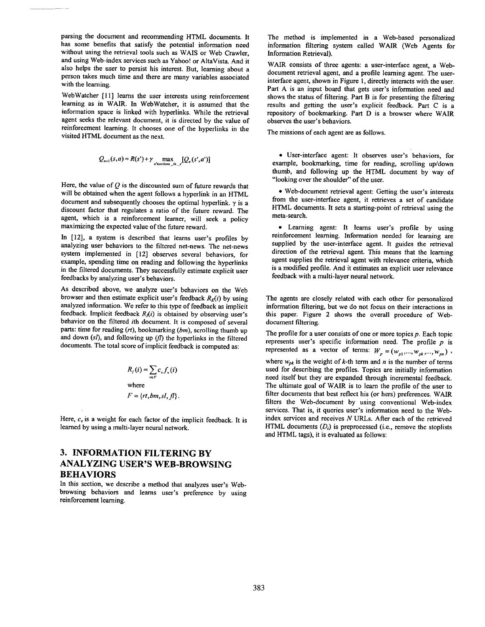parsing the document and recommending HTML documents. It has some benefits that satisfy the potential information need without using the retrieval tools such as WAIS or Web Crawler, and using Web-index services such as Yahoo! or AltaVista. And it also helps the user to persist his interest. But, learning about a person takes much time and there are many variables associated with the learning.

WebWatcher [11] learns the user interests using reinforcement learning as in WAIR. In WebWatcher, it is assumed that the information space is linked with hyperlinks. While the retrieval agent seeks the relevant document, it is directed by the value of reinforcement learning. It chooses one of the hyperlinks in the visited HTML document as the next.

$$
Q_{n+1}(s,a) = R(s') + \gamma \max_{s'} [Q_n(s',a')]
$$

Here, the value of  $Q$  is the discounted sum of future rewards that will be obtained when the agent follows a hyperlink in an HTML document and subsequently chooses the optimal hyperlink.  $\gamma$  is a discount factor that regulates a ratio of the future reward. The agent, which is a reinforcement learner, will seek a policy maximizing the expected value of the future reward.

In [12], a system is described that learns user's profiles by analyzing user behaviors to the filtered net-news. The net-news system implemented in [12] observes several behaviors, for example, spending time on reading and following the hyperlinks in the filtered documents. They successfully estimate explicit user feedbacks by analyzing user's behaviors.

As described above, we analyze user's behaviors on the Web browser and then estimate explicit user's feedback  $R_E(i)$  by using analyzed information. We refer to this type of feedback as implicit feedback. Implicit feedback  $R<sub>i</sub>(i)$  is obtained by observing user's behavior on the filtered ith document. It is composed of several parts: time for reading *(rt),* bookmarking *(bm),* scrolling thumb up and down (sl), and following up (fl) the hyperlinks in the filtered documents. The total score of implicit feedback is computed as:

$$
R_{I}(i) = \sum_{v \in F} c_{v} f_{v}(i)
$$
  
where  

$$
F = \{rt, bm, sl, fl\}.
$$

Here,  $c_v$  is a weight for each factor of the implicit feedback. It is learned by using a multi-layer neural network.

# **3. INFORMATION FILTERING BY ANALYZING USER'S WEB-BROWSING BEHAVIORS**

In this section, we describe a method that analyzes user's Webbrowsing behaviors and learns user's preference by using reinforcement learning.

The method is implemented in a Web-based personalized information filtering system called WAIR (Web Agents for Information Retrieval).

WAIR consists of three agents: a user-interface agent, a Webdocument retrieval agent, and a profile learning agent. The userinterface agent, shown in Figure 1, directly interacts with the user. Part A is an input board that gets user's information need and shows the status of filtering. Part B is for presenting the filtering results and getting the user's explicit feedback. Part C is a repository of bookmarking. Part D is a browser where WAIR observes the user's behaviors.

The missions of each agent are as follows.

• User-interface agent: It observes user's behaviors, for example, bookmarking, time for reading, scrolling up/down thumb, and following up the HTML document by way of "looking over the shoulder" of the user.

**•** Web-document retrieval agent: Getting the user's interests from the user-interface agent, it retrieves a set of candidate HTML documents. It sets a starting-point of retrieval using the meta-search.

• Learning agent: It learns user's profile by using reinforcement learning. Information needed for learning are supplied by the user-interface agent. It guides the retrieval direction of the retrieval agent. This means that the learning agent supplies the retrieval agent with relevance criteria, which is a modified profile. And it estimates an explicit user relevance feedback with a multi-layer neural network.

The agents are closely related with each other for personalized information filtering, but we do not focus on their interactions in this paper. Figure 2 shows the overall procedure of Webdocument filtering.

The profile for a user consists of one or more topics  $p$ . Each topic represents user's specific information need. The profile  $p$  is represented as a vector of terms:  $W_p = (w_{p1},...,w_{pk},...,w_{pn})$ , where  $w_{pk}$  is the weight of k-th term and n is the number of terms used for describing the profiles. Topics are initially information need itself but they are expanded through incremental feedback. The ultimate goal of WAIR is to learn the profile of the user to filter documents that best reflect his (or hers) preferences. WAIR filters the Web-document by using conventional Web-index services. That is, it queries user's information need to the Webindex services and receives N URLs. After each of the retrieved HTML documents  $(D_i)$  is preprocessed (i.e., remove the stoplists and HTML tags), it is evaluated as follows: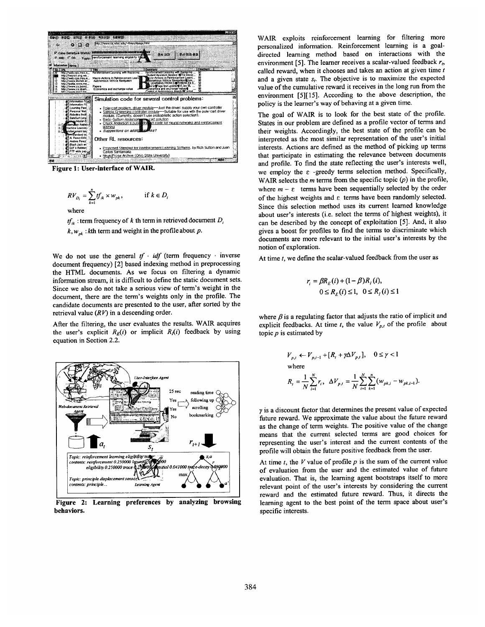

**Figure 1: User-interface of WAIR.** 

$$
RV_{D_i} = \sum_{k=1}^n t f_{ik} \times w_{pk}, \qquad \text{if } k \in D_i
$$

where

 $tf_{ik}$ : term frequency of k th term in retrieved document  $D_i$  $k, w_{pk}$ : kth term and weight in the profile about p.

We do not use the general  $tf \cdot idf$  (term frequency  $\cdot$  inverse document frequency) [2] based indexing method in preprocessing the HTML documents. As we focus on filtering a dynamic information stream, it is difficult to define the static document sets. Since we also do not take a serious view of term's weight in the document, there are the term's weights only in the profile. The candidate documents are presented to the user, after sorted by the retrieval value  $(RV)$  in a descending order.

After the filtering, the user evaluates the results. WAIR acquires the user's explicit  $R_E(i)$  or implicit  $R_i(i)$  feedback by using equation in Section 2.2.



**Figure 2: Learning preferences by analyzing browsing behaviors.** 

WAIR exploits reinforcement learning for filtering more personalized information. Reinforcement learning is a goaldirected learning method based on interactions with the environment [5]. The learner receives a scalar-valued feedback  $r<sub>b</sub>$ called reward, when it chooses and takes an action at given time  $t$ and a given state  $s_t$ . The objective is to maximize the expected value of the cumulative reward it receives in the long run from the environment [5][15]. According to the above description, the policy is the learner's way of behaving at a given time.

The goal of WAIR is to look for the best state of the profile. States in our problem are defined as a profile vector of terms and their weights. Accordingly, the best state of the profile can be interpreted as the most similar representation of the user's initial interests. Actions are defined as the method of picking up terms that participate in estimating the relevance between documents and profile. To find the state reflecting the user's interests well, we employ the  $\varepsilon$  -greedy terms selection method. Specifically, WAIR selects the  $m$  terms from the specific topic  $(p)$  in the profile, where  $m - \varepsilon$  terms have been sequentially selected by the order of the highest weights and  $\varepsilon$  terms have been randomly selected. Since this selection method uses its current learned knowledge about user's interests (i.e. select the terms of highest weights), it can be described by the concept of exploitation [5]. And, it also gives a boost for profiles to find the terms to discriminate which documents are more relevant to the initial user's interests by the notion of exploration.

At time  $t$ , we define the scalar-valued feedback from the user as

$$
r_i = \beta R_E(i) + (1 - \beta)R_I(i),
$$
  

$$
0 \le R_E(i) \le 1, \quad 0 \le R_I(i) \le 1
$$

where  $\beta$  is a regulating factor that adjusts the ratio of implicit and explicit feedbacks. At time *t*, the value  $V_{p,t}$  of the profile about topic  $p$  is estimated by

$$
V_{p,i} \leftarrow V_{p,i-1} + [R_i + \gamma \Delta V_{p,i}], \quad 0 \le \gamma < 1
$$
\nwhere

\n
$$
R_i = \frac{1}{N} \sum_{i=1}^{N} r_i, \quad \Delta V_{p,i} = \frac{1}{N} \sum_{i=1}^{N} \sum_{k=1}^{n} (w_{pk,i} - w_{pk,i-1})
$$

 $\gamma$  is a discount factor that determines the present value of expected future reward. We approximate the value about the future reward as the change of term weights. The positive value of the change means that the current selected terms are good choices for representing the user's interest and the current contents of the profile will obtain the future positive feedback from the user.

At time  $t$ , the V value of profile  $p$  is the sum of the current value of evaluation from the user and the estimated value of future evaluation. That is, the learning agent bootstraps itself to more relevant point of the user's interests by considering the current reward and the estimated future reward. Thus, it directs the learning agent to the best point of the term space about user's specific interests.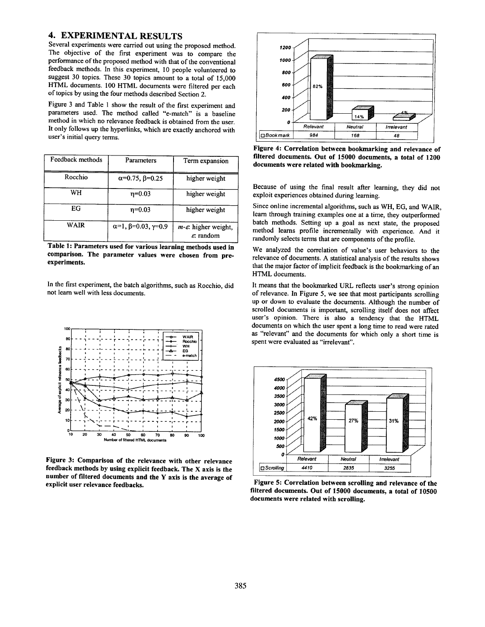## **4. EXPERIMENTAL RESULTS**

Several experiments were carried out using the proposed method. The objective of the first experiment was to compare the performance of the proposed method with that of the conventional feedback methods. In this experiment, 10 people volunteered to suggest 30 topics. These 30 topics amount to a total of 15,000 HTML documents. 100 HTML documents were filtered per each of topics by using the four methods described Section 2.

Figure 3 and Table 1 show the result of the first experiment and parameters used. The method called "e-match" is a baseline method in which no relevance feedback is obtained from the user. It only follows up the hyperlinks, which are exactly anchored with user's initial query terms.

| Feedback methods | Parameters                         | Term expansion                                               |
|------------------|------------------------------------|--------------------------------------------------------------|
| Rocchio          | $\alpha$ =0.75, $\beta$ =0.25      | higher weight                                                |
| WH               | $n=0.03$                           | higher weight                                                |
| EG               | $n=0.03$                           | higher weight                                                |
| WAIR             | $\alpha=1, \beta=0.03, \gamma=0.9$ | $m$ - $\varepsilon$ : higher weight,<br>$\varepsilon$ random |

**Table 1: Parameters used for various learning methods used in comparison. The parameter values were chosen from preexperiments.** 

In the first experiment, the batch algorithms, such as Rocchio, did not learn well with less documents.



**Figure 3: Comparison of the relevance with other relevance feedback methods by using explicit feedback. The X axis is the number of filtered documents and the Y axis is the average of explicit user relevance feedbacks.** 



**Figure 4: Correlation between bookmarking and relevance of filtered documents. Out of 15000 documents, a total of 1200 documents were related with bookmarking.** 

Because of using the final result after learning, they did not exploit experiences obtained during learning.

Since online incremental algorithms, such as WH, EG, and WAIR, learn through training examples one at a time, they outperformed batch methods. Setting up a goal as next state, the proposed method learns profile incrementally with experience. And it randomly selects terms that are components of the profile.

We analyzed the correlation of value's user behaviors to the relevance of documents. A statistical analysis of the results shows that the major factor of implicit feedback is the bookmarking of an HTML documents.

It means that the bookmarked URL reflects user's strong opinion of relevance. In Figure 5, we see that most participants scrolling up or down to evaluate the documents. Although the number of scrolled documents is important, scrolling itself does not affect user's opinion. There is also a tendency that the HTML documents on which the user spent a long time to read were rated as "relevant" and the documents for which only a short time is spent were evaluated as "irrelevant".



**Figure 5: Correlation between scrolling and relevance of the filtered documents. Out of 15000 documents, a total of 10500 documents were related with scrolling.**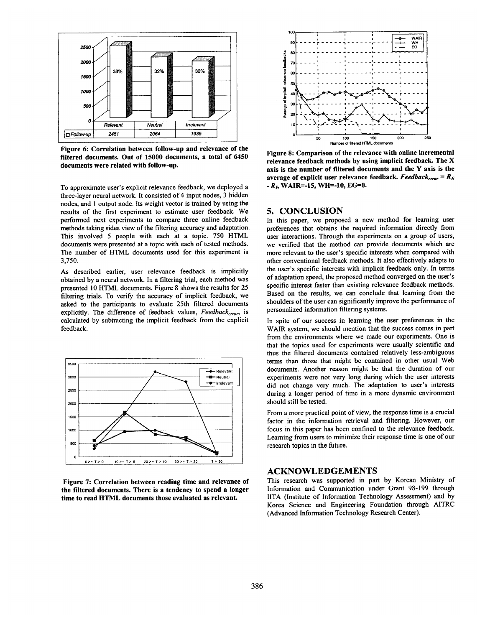

**Figure 6: Correlation between follow-up and relevance of the filtered** documents. Out of 15000 documents, a **total of** 6450 **documents were related with** follow-up.

To approximate user's explicit relevance feedback, we deployed a three-layer neural network. It consisted of 4 input nodes, 3 hidden nodes, and I output node. Its weight vector is trained by using the results of the first experiment to estimate user feedback. We performed next experiments to compare three online feedback methods taking sides view of the filtering accuracy and adaptation. This involved 5 people with each at a topic. 750 HTML documents were presented at a topic with each of tested methods. The number of HTML documents used for this experiment is 3,750.

As described earlier, user relevance feedback is implicitly obtained by a neural network. In a filtering trial, each method was presented 10 HTML documents. Figure 8 shows the results for 25 filtering trials. To verify the accuracy of implicit feedback, we asked to the participants to evaluate 25th filtered documents explicitly. The difference of feedback values, *Feedbackerror,* is calculated by subtracting the implicit feedback from the explicit feedback.



Figure 7: **Correlation between reading time and relevance of the filtered documents. There is a tendency to spend a longer time to read HTML documents those evaluated as relevant.** 



Figure **8: Comparison of the relevance with online incremental relevance feedback methods by using implicit feedback.** The X **axis is the number of filtered documents and the Y axis is the**  average of explicit user relevance feedback. *Feedback<sub>error</sub>* =  $R_E$  $-R<sub>b</sub>$  WAIR=-15, WH=-10, EG=0.

#### **5. CONCLUSION**

In this paper, we proposed a new method for learning user preferences that obtains the required information directly from user interactions. Through the experiments on a group of users, we verified that the method can provide documents which are more relevant to the user's specific interests when compared with other conventional feedback methods. It also effectively adapts to the user's specific interests with implicit feedback only. In terms of adaptation speed, the proposed method converged on the user's specific interest faster than existing relevance feedback methods. Based on the results, we can conclude that learning from the shoulders of the user can significantly improve the performance of personalized information filtering systems.

In spite of our success in learning the user preferences in the WAIR system, we should mention that the success comes in part from the environments where we made our experiments. One is that the topics used for experiments were usually scientific and thus the filtered documents contained relatively less-ambiguous terms than those that might be contained in other usual Web documents. Another reason might be that the duration of our experiments were not very long during which the user interests did not change very much. The adaptation to user's interests during a longer period of time in a more dynamic environment should still be tested.

From a more practical point of view, the response time is a crucial factor in the information retrieval and filtering. However, our focus in this paper has been confined to the relevance feedback. Learning from users to minimize their response time is one of our research topics in the future.

#### **ACKNOWLEDGEMENTS**

This research was supported in part by Korean Ministry of Information and Communication under Grant 98-199 through IITA (Institute of Information Technology Assessment) and by Korea Science and Engineering Foundation through AITRC (Advanced Information Technology Research Center).